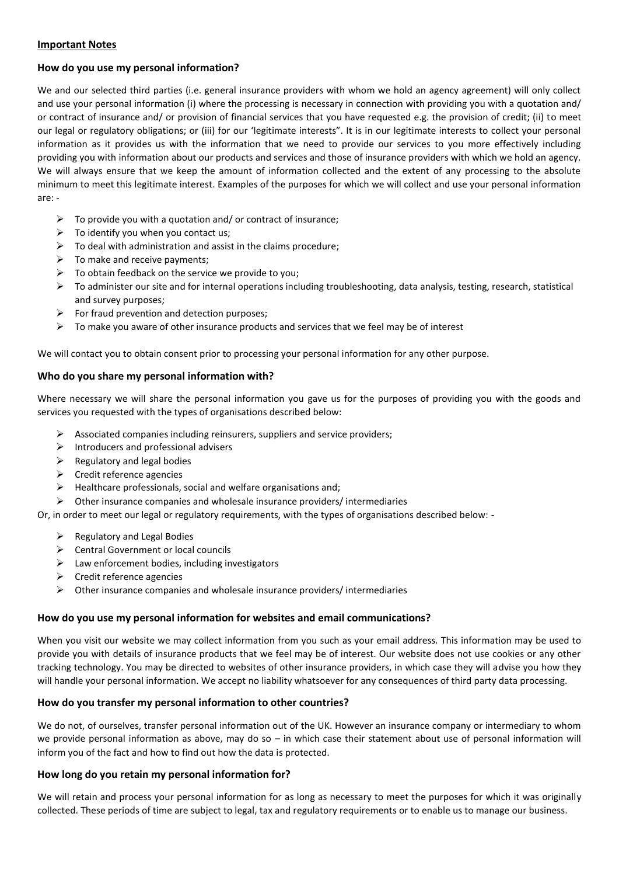### **Important Notes**

## **How do you use my personal information?**

We and our selected third parties (i.e. general insurance providers with whom we hold an agency agreement) will only collect and use your personal information (i) where the processing is necessary in connection with providing you with a quotation and/ or contract of insurance and/ or provision of financial services that you have requested e.g. the provision of credit; (ii) to meet our legal or regulatory obligations; or (iii) for our 'legitimate interests". It is in our legitimate interests to collect your personal information as it provides us with the information that we need to provide our services to you more effectively including providing you with information about our products and services and those of insurance providers with which we hold an agency. We will always ensure that we keep the amount of information collected and the extent of any processing to the absolute minimum to meet this legitimate interest. Examples of the purposes for which we will collect and use your personal information are: -

- $\triangleright$  To provide you with a quotation and/ or contract of insurance;
- $\triangleright$  To identify you when you contact us;
- $\triangleright$  To deal with administration and assist in the claims procedure;
- $\triangleright$  To make and receive payments:
- $\triangleright$  To obtain feedback on the service we provide to you;
- $\triangleright$  To administer our site and for internal operations including troubleshooting, data analysis, testing, research, statistical and survey purposes;
- $\triangleright$  For fraud prevention and detection purposes;
- $\triangleright$  To make you aware of other insurance products and services that we feel may be of interest

We will contact you to obtain consent prior to processing your personal information for any other purpose.

## **Who do you share my personal information with?**

Where necessary we will share the personal information you gave us for the purposes of providing you with the goods and services you requested with the types of organisations described below:

- $\triangleright$  Associated companies including reinsurers, suppliers and service providers;
- $\triangleright$  Introducers and professional advisers
- $\triangleright$  Regulatory and legal bodies
- $\triangleright$  Credit reference agencies
- $\triangleright$  Healthcare professionals, social and welfare organisations and;
- $\triangleright$  Other insurance companies and wholesale insurance providers/ intermediaries

Or, in order to meet our legal or regulatory requirements, with the types of organisations described below: -

- $\triangleright$  Regulatory and Legal Bodies
- $\triangleright$  Central Government or local councils
- $\triangleright$  Law enforcement bodies, including investigators
- $\triangleright$  Credit reference agencies
- $\triangleright$  Other insurance companies and wholesale insurance providers/ intermediaries

#### **How do you use my personal information for websites and email communications?**

When you visit our website we may collect information from you such as your email address. This information may be used to provide you with details of insurance products that we feel may be of interest. Our website does not use cookies or any other tracking technology. You may be directed to websites of other insurance providers, in which case they will advise you how they will handle your personal information. We accept no liability whatsoever for any consequences of third party data processing.

# **How do you transfer my personal information to other countries?**

We do not, of ourselves, transfer personal information out of the UK. However an insurance company or intermediary to whom we provide personal information as above, may do so  $-$  in which case their statement about use of personal information will inform you of the fact and how to find out how the data is protected.

# **How long do you retain my personal information for?**

We will retain and process your personal information for as long as necessary to meet the purposes for which it was originally collected. These periods of time are subject to legal, tax and regulatory requirements or to enable us to manage our business.